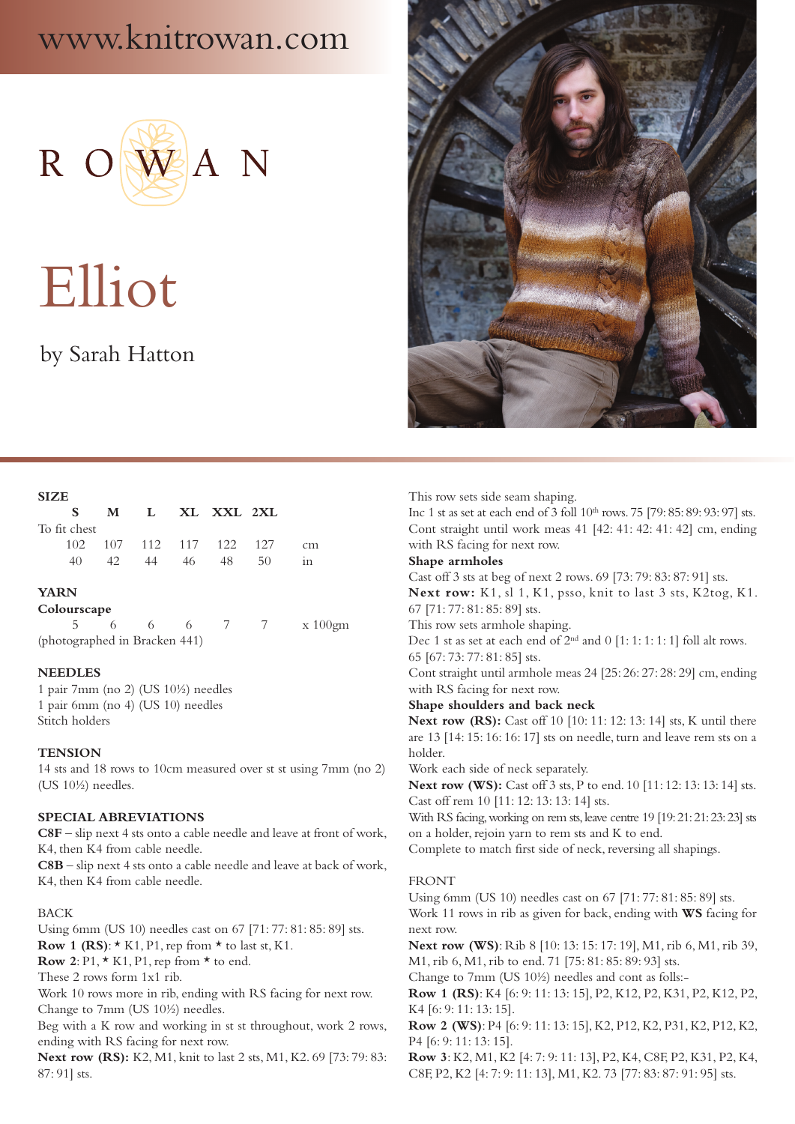## www.knitrowan.com



# Elliot

### by Sarah Hatton



#### **SIZE**

| - S -        | M   | $\mathbf{L}$ |    | XL XXL 2XL              |    |    |
|--------------|-----|--------------|----|-------------------------|----|----|
| To fit chest |     |              |    |                         |    |    |
|              |     |              |    | 102 107 112 117 122 127 |    | cm |
| 40.          | 42. | 44           | 46 | - 48                    | 50 | 1n |

#### **YARN**

**Colourscape**

5 6 6 6 7 7 x 100gm (photographed in Bracken 441)

#### **NEEDLES**

1 pair 7mm (no 2) (US 10½) needles 1 pair 6mm (no 4) (US 10) needles Stitch holders

#### **TENSION**

14 sts and 18 rows to 10cm measured over st st using 7mm (no 2) (US 10½) needles.

#### **SPECIAL ABREVIATIONS**

**C8F** – slip next 4 sts onto a cable needle and leave at front of work, K4, then K4 from cable needle.

**C8B** – slip next 4 sts onto a cable needle and leave at back of work, K4, then K4 from cable needle.

#### BACK

Using 6mm (US 10) needles cast on 67 [71: 77: 81: 85: 89] sts. **Row 1 (RS):**  $\star$  K1, P1, rep from  $\star$  to last st, K1.

**Row** 2: P1,  $\star$  K1, P1, rep from  $\star$  to end.

These 2 rows form 1x1 rib.

Work 10 rows more in rib, ending with RS facing for next row. Change to 7mm (US 10½) needles.

Beg with a K row and working in st st throughout, work 2 rows, ending with RS facing for next row.

**Next row (RS):** K2, M1, knit to last 2 sts, M1, K2. 69 [73: 79: 83: 87: 91] sts.

This row sets side seam shaping.

Inc 1 st as set at each end of 3 foll 10<sup>th</sup> rows. 75 [79: 85: 89: 93: 97] sts. Cont straight until work meas 41 [42: 41: 42: 41: 42] cm, ending with RS facing for next row.

#### **Shape armholes**

Cast off 3 sts at beg of next 2 rows. 69 [73: 79: 83: 87: 91] sts. **Next row:** K1, sl 1, K1, psso, knit to last 3 sts, K2tog, K1. 67 [71: 77: 81: 85: 89] sts.

This row sets armhole shaping.

Dec 1 st as set at each end of  $2<sup>nd</sup>$  and 0 [1: 1: 1: 1: 1] foll alt rows. 65 [67: 73: 77: 81: 85] sts.

Cont straight until armhole meas 24 [25: 26: 27: 28: 29] cm, ending with RS facing for next row.

#### **Shape shoulders and back neck**

**Next row (RS):** Cast off 10 [10: 11: 12: 13: 14] sts, K until there are 13 [14: 15: 16: 16: 17] sts on needle, turn and leave rem sts on a holder.

Work each side of neck separately.

**Next row (WS):** Cast off 3 sts, P to end. 10 [11: 12: 13: 13: 14] sts. Cast off rem 10 [11: 12: 13: 13: 14] sts.

With RS facing, working on rem sts, leave centre 19 [19: 21: 21: 23: 23] sts on a holder, rejoin yarn to rem sts and K to end.

Complete to match first side of neck, reversing all shapings.

#### FRONT

Using 6mm (US 10) needles cast on 67 [71: 77: 81: 85: 89] sts. Work 11 rows in rib as given for back, ending with **WS** facing for next row.

**Next row (WS)**: Rib 8 [10: 13: 15: 17: 19], M1, rib 6, M1, rib 39, M1, rib 6, M1, rib to end. 71 [75: 81: 85: 89: 93] sts.

Change to 7mm (US 10½) needles and cont as folls:-

**Row 1 (RS)**: K4 [6: 9: 11: 13: 15], P2, K12, P2, K31, P2, K12, P2, K4 [6: 9: 11: 13: 15].

**Row 2 (WS)**: P4 [6: 9: 11: 13: 15], K2, P12, K2, P31, K2, P12, K2, P4 [6: 9: 11: 13: 15].

**Row 3**: K2, M1, K2 [4: 7: 9: 11: 13], P2, K4, C8F, P2, K31, P2, K4, C8F, P2, K2 [4: 7: 9: 11: 13], M1, K2. 73 [77: 83: 87: 91: 95] sts.